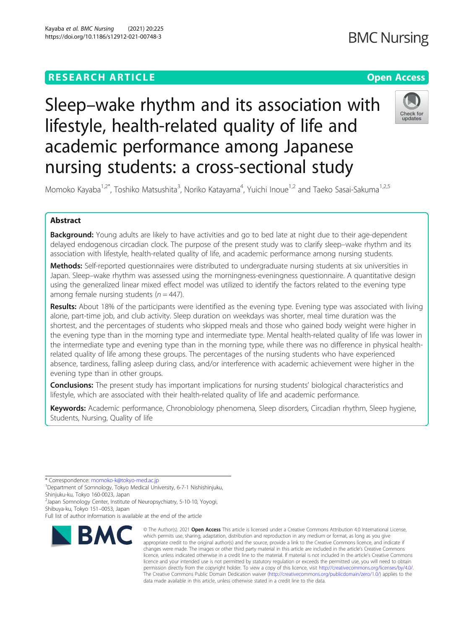### **RESEARCH ARTICLE Example 2014 12:30 The Contract of Contract ACCESS**

**BMC Nursing** 

# Sleep–wake rhythm and its association with lifestyle, health-related quality of life and academic performance among Japanese nursing students: a cross-sectional study



Momoko Kayaba<sup>1,2\*</sup>, Toshiko Matsushita<sup>3</sup>, Noriko Katayama<sup>4</sup>, Yuichi Inoue<sup>1,2</sup> and Taeko Sasai-Sakuma<sup>1,2,5</sup>

### Abstract

Background: Young adults are likely to have activities and go to bed late at night due to their age-dependent delayed endogenous circadian clock. The purpose of the present study was to clarify sleep–wake rhythm and its association with lifestyle, health-related quality of life, and academic performance among nursing students.

Methods: Self-reported questionnaires were distributed to undergraduate nursing students at six universities in Japan. Sleep–wake rhythm was assessed using the morningness-eveningness questionnaire. A quantitative design using the generalized linear mixed effect model was utilized to identify the factors related to the evening type among female nursing students ( $n = 447$ ).

Results: About 18% of the participants were identified as the evening type. Evening type was associated with living alone, part-time job, and club activity. Sleep duration on weekdays was shorter, meal time duration was the shortest, and the percentages of students who skipped meals and those who gained body weight were higher in the evening type than in the morning type and intermediate type. Mental health-related quality of life was lower in the intermediate type and evening type than in the morning type, while there was no difference in physical healthrelated quality of life among these groups. The percentages of the nursing students who have experienced absence, tardiness, falling asleep during class, and/or interference with academic achievement were higher in the evening type than in other groups.

**Conclusions:** The present study has important implications for nursing students' biological characteristics and lifestyle, which are associated with their health-related quality of life and academic performance.

Keywords: Academic performance, Chronobiology phenomena, Sleep disorders, Circadian rhythm, Sleep hygiene, Students, Nursing, Quality of life

\* Correspondence: [momoko-k@tokyo-med.ac.jp](mailto:momoko-k@tokyo-med.ac.jp) <sup>1</sup>

<sup>1</sup>Department of Somnology, Tokyo Medical University, 6-7-1 Nishishinjuku, Shinjuku-ku, Tokyo 160-0023, Japan

2 Japan Somnology Center, Institute of Neuropsychiatry, 5-10-10, Yoyogi, Shibuya-ku, Tokyo 151–0053, Japan

Full list of author information is available at the end of the article

# **RMC**

<sup>©</sup> The Author(s), 2021 **Open Access** This article is licensed under a Creative Commons Attribution 4.0 International License, which permits use, sharing, adaptation, distribution and reproduction in any medium or format, as long as you give appropriate credit to the original author(s) and the source, provide a link to the Creative Commons licence, and indicate if changes were made. The images or other third party material in this article are included in the article's Creative Commons licence, unless indicated otherwise in a credit line to the material. If material is not included in the article's Creative Commons licence and your intended use is not permitted by statutory regulation or exceeds the permitted use, you will need to obtain permission directly from the copyright holder. To view a copy of this licence, visit [http://creativecommons.org/licenses/by/4.0/.](http://creativecommons.org/licenses/by/4.0/) The Creative Commons Public Domain Dedication waiver [\(http://creativecommons.org/publicdomain/zero/1.0/](http://creativecommons.org/publicdomain/zero/1.0/)) applies to the data made available in this article, unless otherwise stated in a credit line to the data.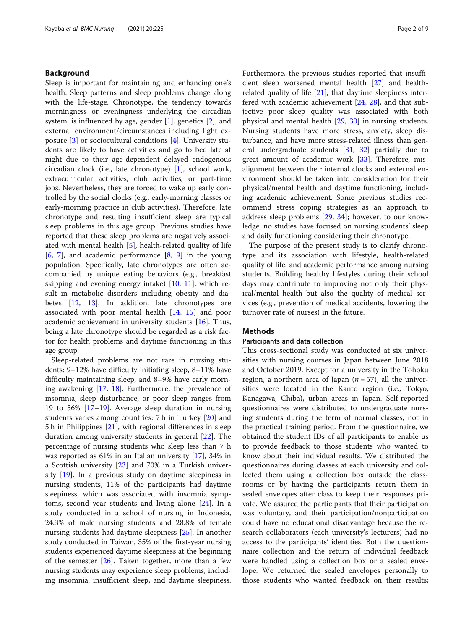#### Background

Sleep is important for maintaining and enhancing one's health. Sleep patterns and sleep problems change along with the life-stage. Chronotype, the tendency towards morningness or eveningness underlying the circadian system, is influenced by age, gender  $[1]$  $[1]$ , genetics  $[2]$  $[2]$ , and external environment/circumstances including light exposure [\[3](#page-7-0)] or sociocultural conditions [\[4\]](#page-7-0). University students are likely to have activities and go to bed late at night due to their age-dependent delayed endogenous circadian clock (i.e., late chronotype) [[1\]](#page-7-0), school work, extracurricular activities, club activities, or part-time jobs. Nevertheless, they are forced to wake up early controlled by the social clocks (e.g., early-morning classes or early-morning practice in club activities). Therefore, late chronotype and resulting insufficient sleep are typical sleep problems in this age group. Previous studies have reported that these sleep problems are negatively associated with mental health  $[5]$ , health-related quality of life [[6,](#page-7-0) [7\]](#page-7-0), and academic performance  $[8, 9]$  $[8, 9]$  $[8, 9]$  $[8, 9]$  in the young population. Specifically, late chronotypes are often accompanied by unique eating behaviors (e.g., breakfast skipping and evening energy intake) [\[10](#page-7-0), [11](#page-7-0)], which result in metabolic disorders including obesity and diabetes [\[12](#page-7-0), [13](#page-7-0)]. In addition, late chronotypes are associated with poor mental health [\[14](#page-7-0), [15](#page-7-0)] and poor academic achievement in university students [[16\]](#page-7-0). Thus, being a late chronotype should be regarded as a risk factor for health problems and daytime functioning in this age group.

Sleep-related problems are not rare in nursing students: 9–12% have difficulty initiating sleep, 8–11% have difficulty maintaining sleep, and 8–9% have early morning awakening [[17,](#page-7-0) [18](#page-7-0)]. Furthermore, the prevalence of insomnia, sleep disturbance, or poor sleep ranges from 19 to 56% [[17](#page-7-0)–[19](#page-7-0)]. Average sleep duration in nursing students varies among countries: 7 h in Turkey [\[20\]](#page-7-0) and 5 h in Philippines [\[21](#page-7-0)], with regional differences in sleep duration among university students in general [[22](#page-7-0)]. The percentage of nursing students who sleep less than 7 h was reported as 61% in an Italian university [\[17](#page-7-0)], 34% in a Scottish university [\[23](#page-7-0)] and 70% in a Turkish university [\[19](#page-7-0)]. In a previous study on daytime sleepiness in nursing students, 11% of the participants had daytime sleepiness, which was associated with insomnia symptoms, second year students and living alone [\[24\]](#page-7-0). In a study conducted in a school of nursing in Indonesia, 24.3% of male nursing students and 28.8% of female nursing students had daytime sleepiness [[25\]](#page-7-0). In another study conducted in Taiwan, 35% of the first-year nursing students experienced daytime sleepiness at the beginning of the semester  $[26]$  $[26]$ . Taken together, more than a few nursing students may experience sleep problems, including insomnia, insufficient sleep, and daytime sleepiness. Furthermore, the previous studies reported that insufficient sleep worsened mental health [[27\]](#page-7-0) and healthrelated quality of life [[21\]](#page-7-0), that daytime sleepiness interfered with academic achievement [[24,](#page-7-0) [28](#page-7-0)], and that subjective poor sleep quality was associated with both physical and mental health [[29](#page-7-0), [30](#page-7-0)] in nursing students. Nursing students have more stress, anxiety, sleep disturbance, and have more stress-related illness than general undergraduate students [\[31,](#page-7-0) [32\]](#page-7-0) partially due to great amount of academic work [\[33](#page-7-0)]. Therefore, misalignment between their internal clocks and external environment should be taken into consideration for their physical/mental health and daytime functioning, including academic achievement. Some previous studies recommend stress coping strategies as an approach to address sleep problems [[29,](#page-7-0) [34\]](#page-8-0); however, to our knowledge, no studies have focused on nursing students' sleep and daily functioning considering their chronotype.

The purpose of the present study is to clarify chronotype and its association with lifestyle, health-related quality of life, and academic performance among nursing students. Building healthy lifestyles during their school days may contribute to improving not only their physical/mental health but also the quality of medical services (e.g., prevention of medical accidents, lowering the turnover rate of nurses) in the future.

#### Methods

#### Participants and data collection

This cross-sectional study was conducted at six universities with nursing courses in Japan between June 2018 and October 2019. Except for a university in the Tohoku region, a northern area of Japan ( $n = 57$ ), all the universities were located in the Kanto region (i.e., Tokyo, Kanagawa, Chiba), urban areas in Japan. Self-reported questionnaires were distributed to undergraduate nursing students during the term of normal classes, not in the practical training period. From the questionnaire, we obtained the student IDs of all participants to enable us to provide feedback to those students who wanted to know about their individual results. We distributed the questionnaires during classes at each university and collected them using a collection box outside the classrooms or by having the participants return them in sealed envelopes after class to keep their responses private. We assured the participants that their participation was voluntary, and their participation/nonparticipation could have no educational disadvantage because the research collaborators (each university's lecturers) had no access to the participants' identities. Both the questionnaire collection and the return of individual feedback were handled using a collection box or a sealed envelope. We returned the sealed envelopes personally to those students who wanted feedback on their results;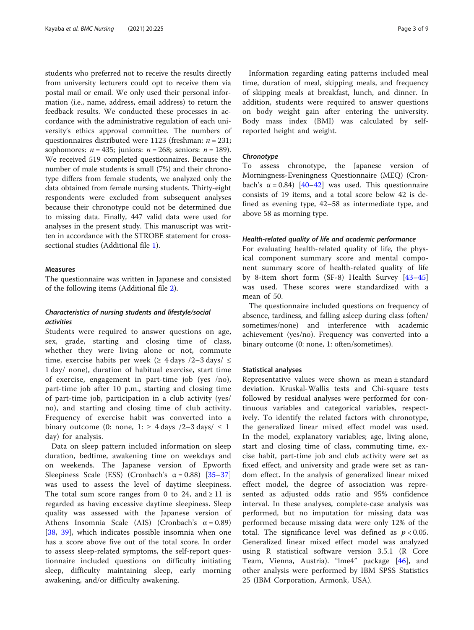students who preferred not to receive the results directly from university lecturers could opt to receive them via postal mail or email. We only used their personal information (i.e., name, address, email address) to return the feedback results. We conducted these processes in accordance with the administrative regulation of each university's ethics approval committee. The numbers of questionnaires distributed were 1123 (freshman:  $n = 231$ ; sophomores:  $n = 435$ ; juniors:  $n = 268$ ; seniors:  $n = 189$ ). We received 519 completed questionnaires. Because the number of male students is small (7%) and their chronotype differs from female students, we analyzed only the data obtained from female nursing students. Thirty-eight respondents were excluded from subsequent analyses because their chronotype could not be determined due to missing data. Finally, 447 valid data were used for analyses in the present study. This manuscript was written in accordance with the STROBE statement for crosssectional studies (Additional file [1](#page-6-0)).

#### Measures

The questionnaire was written in Japanese and consisted of the following items (Additional file [2\)](#page-6-0).

#### Characteristics of nursing students and lifestyle/social activities

Students were required to answer questions on age, sex, grade, starting and closing time of class, whether they were living alone or not, commute time, exercise habits per week ( $\geq 4$  days /2–3 days/  $\leq$ 1 day/ none), duration of habitual exercise, start time of exercise, engagement in part-time job (yes /no), part-time job after 10 p.m., starting and closing time of part-time job, participation in a club activity (yes/ no), and starting and closing time of club activity. Frequency of exercise habit was converted into a binary outcome (0: none, 1:  $\geq$  4 days /2–3 days/  $\leq$  1 day) for analysis.

Data on sleep pattern included information on sleep duration, bedtime, awakening time on weekdays and on weekends. The Japanese version of Epworth Sleepiness Scale (ESS) (Cronbach's  $\alpha = 0.88$ ) [\[35](#page-8-0)–[37](#page-8-0)] was used to assess the level of daytime sleepiness. The total sum score ranges from 0 to 24, and  $\geq 11$  is regarded as having excessive daytime sleepiness. Sleep quality was assessed with the Japanese version of Athens Insomnia Scale (AIS) (Cronbach's  $\alpha = 0.89$ ) [[38,](#page-8-0) [39\]](#page-8-0), which indicates possible insomnia when one has a score above five out of the total score. In order to assess sleep-related symptoms, the self-report questionnaire included questions on difficulty initiating sleep, difficulty maintaining sleep, early morning awakening, and/or difficulty awakening.

Information regarding eating patterns included meal time, duration of meal, skipping meals, and frequency of skipping meals at breakfast, lunch, and dinner. In addition, students were required to answer questions on body weight gain after entering the university. Body mass index (BMI) was calculated by selfreported height and weight.

#### **Chronotype**

To assess chronotype, the Japanese version of Morningness-Eveningness Questionnaire (MEQ) (Cronbach's  $\alpha = 0.84$ ) [[40](#page-8-0)–[42](#page-8-0)] was used. This questionnaire consists of 19 items, and a total score below 42 is defined as evening type, 42–58 as intermediate type, and above 58 as morning type.

#### Health-related quality of life and academic performance

For evaluating health-related quality of life, the physical component summary score and mental component summary score of health-related quality of life by 8-item short form (SF-8) Health Survey [\[43](#page-8-0)–[45](#page-8-0)] was used. These scores were standardized with a mean of 50.

The questionnaire included questions on frequency of absence, tardiness, and falling asleep during class (often/ sometimes/none) and interference with academic achievement (yes/no). Frequency was converted into a binary outcome (0: none, 1: often/sometimes).

#### Statistical analyses

Representative values were shown as mean ± standard deviation. Kruskal-Wallis tests and Chi-square tests followed by residual analyses were performed for continuous variables and categorical variables, respectively. To identify the related factors with chronotype, the generalized linear mixed effect model was used. In the model, explanatory variables; age, living alone, start and closing time of class, commuting time, excise habit, part-time job and club activity were set as fixed effect, and university and grade were set as random effect. In the analysis of generalized linear mixed effect model, the degree of association was represented as adjusted odds ratio and 95% confidence interval. In these analyses, complete-case analysis was performed, but no imputation for missing data was performed because missing data were only 12% of the total. The significance level was defined as  $p < 0.05$ . Generalized linear mixed effect model was analyzed using R statistical software version 3.5.1 (R Core Team, Vienna, Austria). "lme4" package [\[46](#page-8-0)], and other analysis were performed by IBM SPSS Statistics 25 (IBM Corporation, Armonk, USA).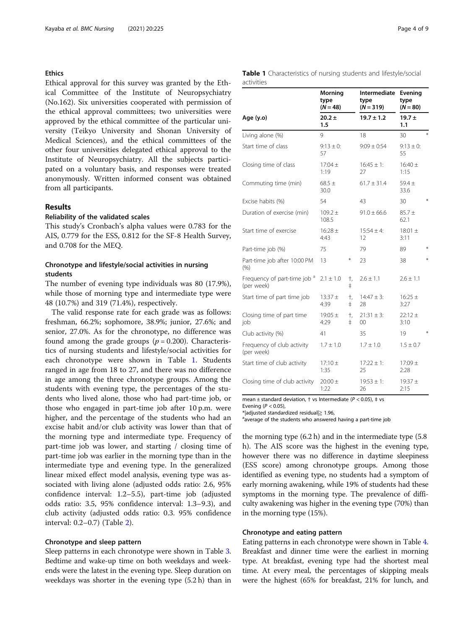#### Ethics

Ethical approval for this survey was granted by the Ethical Committee of the Institute of Neuropsychiatry (No.162). Six universities cooperated with permission of the ethical approval committees; two universities were approved by the ethical committee of the particular university (Teikyo University and Shonan University of Medical Sciences), and the ethical committees of the other four universities delegated ethical approval to the Institute of Neuropsychiatry. All the subjects participated on a voluntary basis, and responses were treated anonymously. Written informed consent was obtained from all participants.

#### Results

#### Reliability of the validated scales

This study's Cronbach's alpha values were 0.783 for the AIS, 0.779 for the ESS, 0.812 for the SF-8 Health Survey, and 0.708 for the MEQ.

#### Chronotype and lifestyle/social activities in nursing students

The number of evening type individuals was 80 (17.9%), while those of morning type and intermediate type were 48 (10.7%) and 319 (71.4%), respectively.

The valid response rate for each grade was as follows: freshman, 66.2%; sophomore, 38.9%; junior, 27.6%; and senior, 27.0%. As for the chronotype, no difference was found among the grade groups ( $p = 0.200$ ). Characteristics of nursing students and lifestyle/social activities for each chronotype were shown in Table 1. Students ranged in age from 18 to 27, and there was no difference in age among the three chronotype groups. Among the students with evening type, the percentages of the students who lived alone, those who had part-time job, or those who engaged in part-time job after 10 p.m. were higher, and the percentage of the students who had an excise habit and/or club activity was lower than that of the morning type and intermediate type. Frequency of part-time job was lower, and starting / closing time of part-time job was earlier in the morning type than in the intermediate type and evening type. In the generalized linear mixed effect model analysis, evening type was associated with living alone (adjusted odds ratio: 2.6, 95% confidence interval: 1.2–5.5), part-time job (adjusted odds ratio: 3.5, 95% confidence interval: 1.3–9.3), and club activity (adjusted odds ratio: 0.3. 95% confidence interval: 0.2–0.7) (Table [2](#page-4-0)).

#### Chronotype and sleep pattern

Sleep patterns in each chronotype were shown in Table [3](#page-4-0). Bedtime and wake-up time on both weekdays and weekends were the latest in the evening type. Sleep duration on weekdays was shorter in the evening type (5.2 h) than in

| Page 4 of 9 |  |
|-------------|--|
|-------------|--|

|            | Table 1 Characteristics of nursing students and lifestyle/social |  |  |
|------------|------------------------------------------------------------------|--|--|
| activities |                                                                  |  |  |

|                                                       | <b>Morning</b><br>type<br>$(N = 48)$ |                  | Intermediate<br>type<br>$(N = 319)$ | Evening<br>type<br>$(N = 80)$ |        |
|-------------------------------------------------------|--------------------------------------|------------------|-------------------------------------|-------------------------------|--------|
| Age (y.o)                                             | 20.2 ±<br>1.5                        |                  | $19.7 \pm 1.2$                      | 19.7 ±<br>1.1                 |        |
| Living alone (%)                                      | 9                                    |                  | 18                                  | 30                            | $\ast$ |
| Start time of class                                   | $9:13 \pm 0$<br>57                   |                  | $9:09 \pm 0:54$                     | $9:13 \pm 0$<br>55            |        |
| Closing time of class                                 | $17:04 \pm$<br>1:19                  |                  | $16:45 \pm 1$ :<br>27               | 16:40±<br>1:15                |        |
| Commuting time (min)                                  | $68.5 \pm$<br>30.0                   |                  | $61.7 \pm 31.4$                     | $59.4 \pm$<br>33.6            |        |
| Excise habits (%)                                     | 54                                   |                  | 43                                  | 30                            | $\ast$ |
| Duration of exercise (min)                            | $109.2 +$<br>108.5                   |                  | $91.0 \pm 66.6$                     | $85.7 +$<br>62.1              |        |
| Start time of exercise                                | $16:28 \pm$<br>4:43                  |                  | $15:54 \pm 4$<br>12                 | $18:01 \pm$<br>3:11           |        |
| Part-time job (%)                                     | 75                                   |                  | 79                                  | 89                            | $\ast$ |
| Part-time job after 10:00 PM<br>(% )                  | 13                                   | ⋇                | 23                                  | 38                            | $*$    |
| Frequency of part-time job <sup>a</sup><br>(per week) | $2.1 \pm 1.0$                        | t,<br>$\ddagger$ | $2.6 \pm 1.1$                       | $2.6 \pm 1.1$                 |        |
| Start time of part time job                           | $13:37 \pm$<br>4:39                  | t,<br>$\ddagger$ | $14:47 \pm 3$ :<br>28               | $16:25 \pm$<br>3:27           |        |
| Closing time of part time<br>job                      | $19:05 \pm$<br>4:29                  | t,<br>$\ddagger$ | $21:31 \pm 3$ :<br>$00 \,$          | $22:12 \pm$<br>3:10           |        |
| Club activity (%)                                     | 41                                   |                  | 35                                  | 19                            | ¥      |
| Frequency of club activity<br>(per week)              | $1.7 \pm 1.0$                        |                  | $1.7 \pm 1.0$                       | $1.5 \pm 0.7$                 |        |
| Start time of club activity                           | $17:10 \pm$<br>1:35                  |                  | $17:22 \pm 1$ :<br>25               | $17:09 \pm$<br>2:28           |        |
| Closing time of club activity                         | $20:00 \pm$<br>1:22                  |                  | $19:53 \pm 1$ :<br>26               | $19:37 +$<br>2:15             |        |

mean  $\pm$  standard deviation,  $\pm$  vs Intermediate ( $P < 0.05$ ),  $\pm$  vs

Evening  $(P < 0.05)$ .

\*|adjusted standardized residual|<sup>≧</sup> 1.96, <sup>a</sup>

average of the students who answered having a part-time job

the morning type  $(6.2 h)$  and in the intermediate type  $(5.8 h)$ h). The AIS score was the highest in the evening type, however there was no difference in daytime sleepiness (ESS score) among chronotype groups. Among those identified as evening type, no students had a symptom of early morning awakening, while 19% of students had these symptoms in the morning type. The prevalence of difficulty awakening was higher in the evening type (70%) than in the morning type (15%).

#### Chronotype and eating pattern

Eating patterns in each chronotype were shown in Table [4](#page-4-0). Breakfast and dinner time were the earliest in morning type. At breakfast, evening type had the shortest meal time. At every meal, the percentages of skipping meals were the highest (65% for breakfast, 21% for lunch, and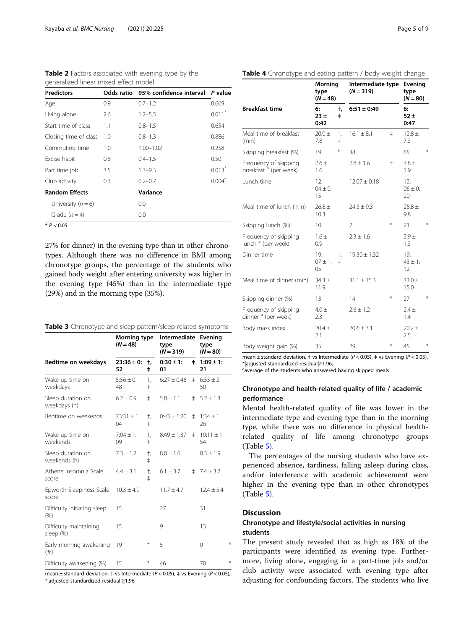<span id="page-4-0"></span>Table 2 Factors associated with evening type by the generalized linear mixed effect model

| <b>Predictors</b>     |     | Odds ratio 95% confidence interval | P value              |
|-----------------------|-----|------------------------------------|----------------------|
| Age                   | 0.9 | $0.7 - 1.2$                        | 0.669                |
| Living alone          | 2.6 | $1.2 - 5.5$                        | $0.011$ <sup>*</sup> |
| Start time of class   | 1.1 | $0.8 - 1.5$                        | 0.654                |
| Closing time of class | 1.0 | $0.8 - 1.3$                        | 0.886                |
| Commuting time        | 1.0 | $1.00 - 1.02$                      | 0.258                |
| Excise habit          | 0.8 | $0.4 - 1.5$                        | 0.501                |
| Part time job         | 3.5 | $1.3 - 9.3$                        | $0.013*$             |
| Club activity         | 0.3 | $0.2 - 0.7$                        | $0.004*$             |
| <b>Random Effects</b> |     | Variance                           |                      |
| University $(n = 6)$  |     | 0.0                                |                      |
| Grade $(n=4)$         |     | 0.0                                |                      |
| $*D \geq 0$ $\cap E$  |     |                                    |                      |

 $P < 0.05$ 

27% for dinner) in the evening type than in other chronotypes. Although there was no difference in BMI among chronotype groups, the percentage of the students who gained body weight after entering university was higher in the evening type (45%) than in the intermediate type (29%) and in the morning type (35%).

|  |  |  | Table 3 Chronotype and sleep pattern/sleep-related symptoms |  |
|--|--|--|-------------------------------------------------------------|--|
|--|--|--|-------------------------------------------------------------|--|

|                                        | Morning type<br>$(N = 48)$ |                         | Intermediate<br>type<br>$(N = 319)$ |       | Evening<br>type<br>$(N = 80)$ |         |
|----------------------------------------|----------------------------|-------------------------|-------------------------------------|-------|-------------------------------|---------|
| Bedtime on weekdays                    | $23:36 \pm 0$ :<br>52      | t,<br>ŧ                 | $0:30 \pm 1$ :<br>01                | $\pm$ | $1:09 \pm 1$ :<br>21          |         |
| Wake-up time on<br>weekdays            | $5:56 + 0$<br>48           | $\dagger$<br>$\ddagger$ | $6:27 \pm 0:46$                     | $\pm$ | $6:55 \pm 2$ :<br>50          |         |
| Sleep duration on<br>weekdays (h)      | $6.2 \pm 0.9$              | $\ddagger$              | $5.8 \pm 1.1$                       | $\pm$ | $5.2 \pm 1.3$                 |         |
| Bedtime on weekends                    | $23:31 \pm 1$ :<br>04      | $+$<br>$\ddagger$       | $0:43 \pm 1:20$                     | $\pm$ | $1:34 \pm 1$ :<br>26          |         |
| Wake-up time on<br>weekends            | $7:04 \pm 1$ :<br>09       | $+$<br>$\ddagger$       | $8:49 \pm 1:37$                     | $\pm$ | $10:11 + 1$ :<br>54           |         |
| Sleep duration on<br>weekends (h)      | $7.3 \pm 1.2$              | $\dagger$<br>$\ddagger$ | $8.0 \pm 1.6$                       |       | $8.3 \pm 1.9$                 |         |
| Athene Insomnia Scale<br>score         | $4.4 \pm 3.1$              | $\dagger$<br>$\ddagger$ | $6.1 + 3.7$                         | $\pm$ | $7.4 \pm 3.7$                 |         |
| Epworth Sleepiness Scale<br>score      | $10.3 \pm 4.9$             |                         | $11.7 + 4.7$                        |       | $12.4 \pm 5.4$                |         |
| Difficulty initiating sleep<br>$(\% )$ | 15                         |                         | 27                                  |       | 31                            |         |
| Difficulty maintaining<br>sleep (%)    | 15                         |                         | 9                                   |       | 13                            |         |
| Early morning awakening<br>(% )        | 19                         | $\ast$                  | 5                                   |       | $\Omega$                      | $\star$ |
| Difficulty awakening (%)               | 15                         | $\ast$                  | 46                                  |       | 70                            | $\star$ |

mean  $\pm$  standard deviation,  $\pm$  vs Intermediate ( $P < 0.05$ ),  $\pm$  vs Evening ( $P < 0.05$ ), \*|adjusted standardized residual|≧1.96

#### Table 4 Chronotype and eating pattern / body weight change

|                                                            | Morning<br>type<br>$(N = 48)$ |                           | Intermediate type<br>$(N = 319)$ |            | Evening<br>type<br>$(N = 80)$ |         |
|------------------------------------------------------------|-------------------------------|---------------------------|----------------------------------|------------|-------------------------------|---------|
| <b>Breakfast time</b>                                      | 6:<br>23±<br>0:42             | t,<br>ŧ                   | $6:51 \pm 0:49$                  |            | 6:<br>52±<br>0:47             |         |
| Meal time of breakfast<br>(min)                            | $20.0 +$<br>7.8               | $\dagger$ ,<br>$\ddagger$ | $16.1 \pm 8.1$                   | $\ddagger$ | $12.8 +$<br>7.3               |         |
| Skipping breakfast (%)                                     | 19                            | ⋇                         | 38                               |            | 65                            | $\star$ |
| Frequency of skipping<br>breakfast <sup>a</sup> (per week) | $2.6 \pm$<br>1.6              |                           | $2.8 \pm 1.6$                    | $\ddagger$ | $3.8 \pm$<br>1.9              |         |
| Lunch time                                                 | 12:<br>$(04 + 0)$<br>15       |                           | $12:07 + 0:18$                   |            | 12:<br>$(06 + 0)$<br>20       |         |
| Meal time of lunch (min)                                   | $26.8 +$<br>10.3              |                           | $24.3 \pm 9.3$                   |            | $25.8 +$<br>9.8               |         |
| Skipping lunch (%)                                         | 10                            |                           | 7                                | $\ast$     | 21                            | $\ast$  |
| Frequency of skipping<br>lunch <sup>a</sup> (per week)     | $1.6 \pm$<br>0.9              |                           | $2.3 \pm 1.6$                    |            | 2.9 <sub>±</sub><br>1.3       |         |
| Dinner time                                                | 19:<br>$07 + 1:$<br>05        | $\dagger$<br>$\ddagger$   | $19:30 \pm 1:32$                 |            | 19:<br>$43 \pm 1$ :<br>12     |         |
| Meal time of dinner (min)                                  | $34.3 +$<br>11.9              |                           | $31.1 \pm 15.3$                  |            | $33.0 \pm$<br>15.0            |         |
| Skipping dinner (%)                                        | 13                            |                           | 14                               | $\ast$     | 27                            | $\ast$  |
| Frequency of skipping<br>dinner <sup>a</sup> (per week)    | $4.0 +$<br>2.3                |                           | $2.6 \pm 1.2$                    |            | $2.4 \pm$<br>1.4              |         |
| Body mass index                                            | $20.4 \pm$<br>2.1             |                           | $20.6 \pm 3.1$                   |            | $20.2 \pm$<br>2.5             |         |
| Body weight gain (%)                                       | 35                            |                           | 29                               | ⋇          | 45                            | $\ast$  |

mean  $\pm$  standard deviation,  $\pm$  vs Intermediate (P < 0.05),  $\pm$  vs Evening (P < 0.05), \*|adjusted standardized residual|≧1.96, <sup>a</sup>

average of the students who answered having skipped meals

#### Chronotype and health-related quality of life / academic performance

Mental health-related quality of life was lower in the intermediate type and evening type than in the morning type, while there was no difference in physical healthrelated quality of life among chronotype groups (Table [5\)](#page-5-0).

The percentages of the nursing students who have experienced absence, tardiness, falling asleep during class, and/or interference with academic achievement were higher in the evening type than in other chronotypes (Table [5\)](#page-5-0).

#### **Discussion**

#### Chronotype and lifestyle/social activities in nursing students

The present study revealed that as high as 18% of the participants were identified as evening type. Furthermore, living alone, engaging in a part-time job and/or club activity were associated with evening type after adjusting for confounding factors. The students who live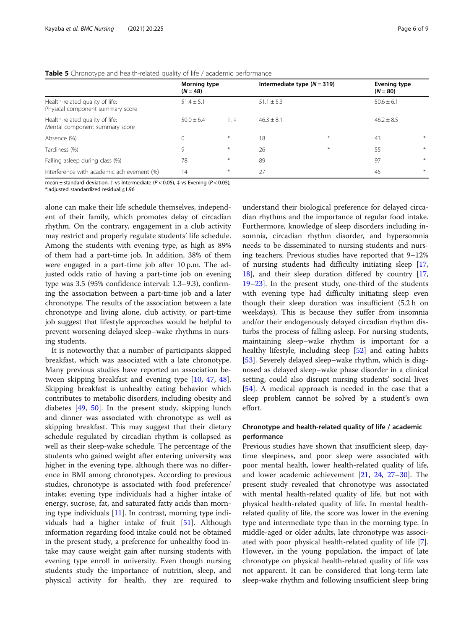#### <span id="page-5-0"></span>**Table 5** Chronotype and health-related quality of life / academic performance

|                                                                     | Morning type<br>$(N = 48)$ |                       | Intermediate type $(N = 319)$ |     | <b>Evening type</b><br>$(N = 80)$ |     |
|---------------------------------------------------------------------|----------------------------|-----------------------|-------------------------------|-----|-----------------------------------|-----|
| Health-related quality of life:<br>Physical component summary score | $51.4 \pm 5.1$             |                       | $51.1 \pm 5.3$                |     | $50.6 \pm 6.1$                    |     |
| Health-related quality of life:<br>Mental component summary score   | $50.0 + 6.4$               | $\dagger$ , $\dagger$ | $46.3 + 8.1$                  |     | $46.2 + 8.5$                      |     |
| Absence (%)                                                         | 0                          | $*$                   | 18                            | $*$ | 43                                | $*$ |
| Tardiness (%)                                                       | 9                          | $*$                   | 26                            | $*$ | 55                                | $*$ |
| Falling asleep during class (%)                                     | 78                         | $*$                   | 89                            |     | 97                                | $*$ |
| Interference with academic achievement (%)                          | 14                         | $*$                   | 27                            |     | 45                                | $*$ |

mean  $\pm$  standard deviation,  $\dagger$  vs Intermediate (P < 0.05),  $\ddagger$  vs Evening (P < 0.05), \*|adjusted standardized residual|≧1.96

alone can make their life schedule themselves, independent of their family, which promotes delay of circadian rhythm. On the contrary, engagement in a club activity may restrict and properly regulate students' life schedule. Among the students with evening type, as high as 89% of them had a part-time job. In addition, 38% of them were engaged in a part-time job after 10 p.m. The adjusted odds ratio of having a part-time job on evening type was 3.5 (95% confidence interval: 1.3–9.3), confirming the association between a part-time job and a later chronotype. The results of the association between a late chronotype and living alone, club activity, or part-time job suggest that lifestyle approaches would be helpful to prevent worsening delayed sleep–wake rhythms in nursing students.

It is noteworthy that a number of participants skipped breakfast, which was associated with a late chronotype. Many previous studies have reported an association between skipping breakfast and evening type [\[10](#page-7-0), [47](#page-8-0), [48](#page-8-0)]. Skipping breakfast is unhealthy eating behavior which contributes to metabolic disorders, including obesity and diabetes [[49](#page-8-0), [50](#page-8-0)]. In the present study, skipping lunch and dinner was associated with chronotype as well as skipping breakfast. This may suggest that their dietary schedule regulated by circadian rhythm is collapsed as well as their sleep-wake schedule. The percentage of the students who gained weight after entering university was higher in the evening type, although there was no difference in BMI among chronotypes. According to previous studies, chronotype is associated with food preference/ intake; evening type individuals had a higher intake of energy, sucrose, fat, and saturated fatty acids than morning type individuals [[11](#page-7-0)]. In contrast, morning type individuals had a higher intake of fruit [\[51](#page-8-0)]. Although information regarding food intake could not be obtained in the present study, a preference for unhealthy food intake may cause weight gain after nursing students with evening type enroll in university. Even though nursing students study the importance of nutrition, sleep, and physical activity for health, they are required to

understand their biological preference for delayed circadian rhythms and the importance of regular food intake. Furthermore, knowledge of sleep disorders including insomnia, circadian rhythm disorder, and hypersomnia needs to be disseminated to nursing students and nursing teachers. Previous studies have reported that 9–12% of nursing students had difficulty initiating sleep [[17](#page-7-0), [18\]](#page-7-0), and their sleep duration differed by country [[17](#page-7-0), [19](#page-7-0)–[23](#page-7-0)]. In the present study, one-third of the students with evening type had difficulty initiating sleep even though their sleep duration was insufficient (5.2 h on weekdays). This is because they suffer from insomnia and/or their endogenously delayed circadian rhythm disturbs the process of falling asleep. For nursing students, maintaining sleep–wake rhythm is important for a healthy lifestyle, including sleep [[52](#page-8-0)] and eating habits [[53\]](#page-8-0). Severely delayed sleep–wake rhythm, which is diagnosed as delayed sleep–wake phase disorder in a clinical setting, could also disrupt nursing students' social lives [[54\]](#page-8-0). A medical approach is needed in the case that a sleep problem cannot be solved by a student's own effort.

#### Chronotype and health-related quality of life / academic performance

Previous studies have shown that insufficient sleep, daytime sleepiness, and poor sleep were associated with poor mental health, lower health-related quality of life, and lower academic achievement [\[21](#page-7-0), [24,](#page-7-0) [27](#page-7-0)–[30](#page-7-0)]. The present study revealed that chronotype was associated with mental health-related quality of life, but not with physical health-related quality of life. In mental healthrelated quality of life, the score was lower in the evening type and intermediate type than in the morning type. In middle-aged or older adults, late chronotype was associated with poor physical health-related quality of life [\[7](#page-7-0)]. However, in the young population, the impact of late chronotype on physical health-related quality of life was not apparent. It can be considered that long-term late sleep-wake rhythm and following insufficient sleep bring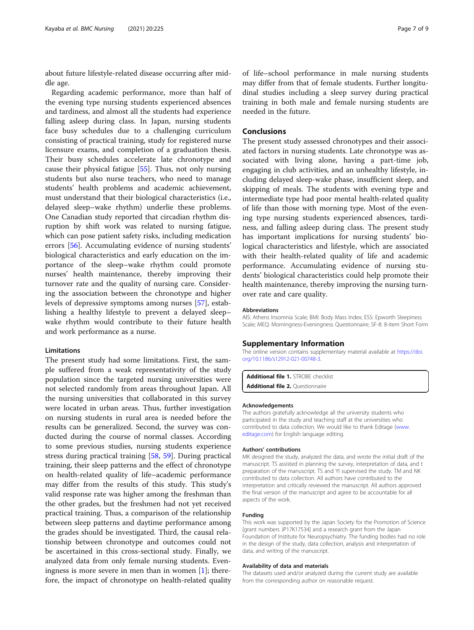<span id="page-6-0"></span>about future lifestyle-related disease occurring after middle age.

Regarding academic performance, more than half of the evening type nursing students experienced absences and tardiness, and almost all the students had experience falling asleep during class. In Japan, nursing students face busy schedules due to a challenging curriculum consisting of practical training, study for registered nurse licensure exams, and completion of a graduation thesis. Their busy schedules accelerate late chronotype and cause their physical fatigue [[55\]](#page-8-0). Thus, not only nursing students but also nurse teachers, who need to manage students' health problems and academic achievement, must understand that their biological characteristics (i.e., delayed sleep–wake rhythm) underlie these problems. One Canadian study reported that circadian rhythm disruption by shift work was related to nursing fatigue, which can pose patient safety risks, including medication errors [\[56\]](#page-8-0). Accumulating evidence of nursing students' biological characteristics and early education on the importance of the sleep–wake rhythm could promote nurses' health maintenance, thereby improving their turnover rate and the quality of nursing care. Considering the association between the chronotype and higher levels of depressive symptoms among nurses [[57](#page-8-0)], establishing a healthy lifestyle to prevent a delayed sleep– wake rhythm would contribute to their future health and work performance as a nurse.

#### **Limitations**

The present study had some limitations. First, the sample suffered from a weak representativity of the study population since the targeted nursing universities were not selected randomly from areas throughout Japan. All the nursing universities that collaborated in this survey were located in urban areas. Thus, further investigation on nursing students in rural area is needed before the results can be generalized. Second, the survey was conducted during the course of normal classes. According to some previous studies, nursing students experience stress during practical training [[58](#page-8-0), [59\]](#page-8-0). During practical training, their sleep patterns and the effect of chronotype on health-related quality of life–academic performance may differ from the results of this study. This study's valid response rate was higher among the freshman than the other grades, but the freshmen had not yet received practical training. Thus, a comparison of the relationship between sleep patterns and daytime performance among the grades should be investigated. Third, the causal relationship between chronotype and outcomes could not be ascertained in this cross-sectional study. Finally, we analyzed data from only female nursing students. Eveningness is more severe in men than in women  $[1]$  $[1]$ ; therefore, the impact of chronotype on health-related quality of life–school performance in male nursing students may differ from that of female students. Further longitudinal studies including a sleep survey during practical training in both male and female nursing students are needed in the future.

#### Conclusions

The present study assessed chronotypes and their associated factors in nursing students. Late chronotype was associated with living alone, having a part-time job, engaging in club activities, and an unhealthy lifestyle, including delayed sleep-wake phase, insufficient sleep, and skipping of meals. The students with evening type and intermediate type had poor mental health-related quality of life than those with morning type. Most of the evening type nursing students experienced absences, tardiness, and falling asleep during class. The present study has important implications for nursing students' biological characteristics and lifestyle, which are associated with their health-related quality of life and academic performance. Accumulating evidence of nursing students' biological characteristics could help promote their health maintenance, thereby improving the nursing turnover rate and care quality.

#### Abbreviations

AIS: Athens Insomnia Scale; BMI: Body Mass Index; ESS: Epworth Sleepiness Scale; MEQ: Morningness-Eveningness Questionnaire; SF-8: 8-item Short Form

#### Supplementary Information

The online version contains supplementary material available at [https://doi.](https://doi.org/10.1186/s12912-021-00748-3) [org/10.1186/s12912-021-00748-3.](https://doi.org/10.1186/s12912-021-00748-3)

Additional file 1. STROBE checklist Additional file 2. Questionnaire

#### Acknowledgements

The authors gratefully acknowledge all the university students who participated in the study and teaching staff at the universities who contributed to data collection. We would like to thank Editage ([www.](http://www.editage.com) [editage.com\)](http://www.editage.com) for English language editing.

#### Authors' contributions

MK designed the study, analyzed the data, and wrote the initial draft of the manuscript. TS assisted in planning the survey, interpretation of data, and t preparation of the manuscript. TS and YI supervised the study. TM and NK contributed to data collection. All authors have contributed to the interpretation and critically reviewed the manuscript. All authors approved the final version of the manuscript and agree to be accountable for all aspects of the work.

#### Funding

This work was supported by the Japan Society for the Promotion of Science [grant numbers JP17K17534] and a research grant from the Japan Foundation of Institute for Neuropsychiatry. The funding bodies had no role in the design of the study, data collection, analysis and interpretation of data, and writing of the manuscript.

#### Availability of data and materials

The datasets used and/or analyzed during the current study are available from the corresponding author on reasonable request.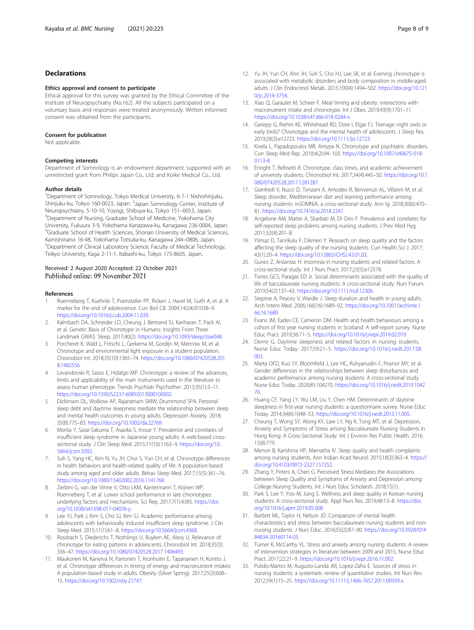#### <span id="page-7-0"></span>Declarations

#### Ethics approval and consent to participate

Ethical approval for this survey was granted by the Ethical Committee of the Institute of Neuropsychiatry (No.162). All the subjects participated on a voluntary basis and responses were treated anonymously. Written informed consent was obtained from the participants.

#### Consent for publication

Not applicable.

#### Competing interests

Department of Somnology is an endowment department, supported with an unrestricted grant from Philips Japan Co., Ltd. and Koike Medical Co., Ltd.

#### Author details

<sup>1</sup>Department of Somnology, Tokyo Medical University, 6-7-1 Nishishinjuku, Shinjuku-ku, Tokyo 160-0023, Japan. <sup>2</sup>Japan Somnology Center, Institute of Neuropsychiatry, 5-10-10, Yoyogi, Shibuya-ku, Tokyo 151–0053, Japan. <sup>3</sup> <sup>3</sup>Department of Nursing, Graduate School of Medicine, Yokohama City University, Fukuura 3-9, Yokohama Kanazawa-ku, Kanagawa 236-0004, Japan. 4 Graduate School of Health Sciences, Shonan University of Medical Sciences, Kamishinano 16-48, Yokohama Totsuka-ku, Kanagawa 244–0806, Japan. <sup>5</sup> <sup>5</sup>Department of Clinical Laboratory Science, Faculty of Medical Technology, Teikyo University, Kaga 2-11-1, Itabashi-ku, Tokyo 173-8605, Japan.

## Received: 2 August 2020 Accepted: 22 October 2021

#### References

- 1. Roenneberg T, Kuehnle T, Pramstaller PP, Ricken J, Havel M, Guth A, et al. A marker for the end of adolescence. Curr Biol CB. 2004;14(24):R1038–9. [https://doi.org/10.1016/j.cub.2004.11.039.](https://doi.org/10.1016/j.cub.2004.11.039)
- 2. Kalmbach DA, Schneider LD, Cheung J, Bertrand SJ, Kariharan T, Pack AI, et al. Genetic Basis of Chronotype in Humans: Insights From Three Landmark GWAS. Sleep. 2017;40(2). [https://doi.org/10.1093/sleep/zsw048.](https://doi.org/10.1093/sleep/zsw048)
- Porcheret K, Wald L, Fritschi L, Gerkema M, Gordijn M, Merrrow M, et al. Chronotype and environmental light exposure in a student population. Chronobiol Int. 2018;35(10):1365–74. [https://doi.org/10.1080/07420528.201](https://doi.org/10.1080/07420528.2018.1482556) [8.1482556](https://doi.org/10.1080/07420528.2018.1482556).
- 4. Levandovski R, Sasso E, Hidalgo MP. Chronotype: a review of the advances, limits and applicability of the main instruments used in the literature to assess human phenotype. Trends Psychiatr Psychother. 2013;35(1):3–11. [https://doi.org/10.1590/S2237-60892013000100002.](https://doi.org/10.1590/S2237-60892013000100002)
- 5. Dickinson DL, Wolkow AP, Rajaratnam SMW, Drummond SPA. Personal sleep debt and daytime sleepiness mediate the relationship between sleep and mental health outcomes in young adults. Depression Anxiety. 2018; 35(8):775–83. <https://doi.org/10.1002/da.22769>.
- 6. Morita Y, Sasai-Sakuma T, Asaoka S, Inoue Y. Prevalence and correlates of insufficient sleep syndrome in Japanese young adults: A web-based crosssectional study. J Clin Sleep Med. 2015;11(10):1163–9. [https://doi.org/10.](https://doi.org/10.5664/jcsm.5092) [5664/jcsm.5092.](https://doi.org/10.5664/jcsm.5092)
- 7. Suh S, Yang HC, Kim N, Yu JH, Choi S, Yun CH, et al. Chronotype differences in health behaviors and health-related quality of life: A population-based study among aged and older adults. Behav Sleep Med. 2017;15(5):361–76. <https://doi.org/10.1080/15402002.2016.1141768>.
- Zerbini G, van der Vinne V, Otto LKM, Kantermann T, Krijnen WP, Roenneberg T, et al. Lower school performance in late chronotypes: underlying factors and mechanisms. Sci Rep. 2017;7(1):4385. [https://doi.](https://doi.org/10.1038/s41598-017-04076-y) [org/10.1038/s41598-017-04076-y](https://doi.org/10.1038/s41598-017-04076-y).
- Lee YJ, Park J, Kim S, Cho SJ, Kim SJ. Academic performance among adolescents with behaviorally induced insufficient sleep syndrome. J Clin Sleep Med. 2015;11(1):61–8. <https://doi.org/10.5664/jcsm.4368>.
- 10. Rossbach S, Diederichs T, Nothlings U, Buyken AE, Alexy U. Relevance of chronotype for eating patterns in adolescents. Chronobiol Int. 2018;35(3): 336–47. <https://doi.org/10.1080/07420528.2017.1406493>.
- 11. Maukonen M, Kanerva N, Partonen T, Kronholm E, Tapanainen H, Kontto J, et al. Chronotype differences in timing of energy and macronutrient intakes: A population-based study in adults. Obesity (Silver Spring). 2017;25(3):608– 15. <https://doi.org/10.1002/oby.21747>.
- 12. Yu JH, Yun CH, Ahn JH, Suh S, Cho HJ, Lee SK, et al. Evening chronotype is associated with metabolic disorders and body composition in middle-aged adults. J Clin Endocrinol Metab. 2015;100(4):1494–502. [https://doi.org/10.121](https://doi.org/10.1210/jc.2014-3754) [0/jc.2014-3754.](https://doi.org/10.1210/jc.2014-3754)
- 13. Xiao Q, Garaulet M, Scheer F. Meal timing and obesity: interactions with macronutrient intake and chronotype. Int J Obes. 2019;43(9):1701–11. [https://doi.org/10.1038/s41366-018-0284-x.](https://doi.org/10.1038/s41366-018-0284-x)
- 14. Gariepy G, Riehm KE, Whitehead RD, Dore I, Elgar FJ. Teenage night owls or early birds? Chronotype and the mental health of adolescents. J Sleep Res. 2019;28(3):e12723. <https://doi.org/10.1111/jsr.12723>.
- 15. Kivela L, Papadopoulos MR, Antypa N. Chronotype and psychiatric disorders. Curr Sleep Med Rep. 2018;4(2):94–103. [https://doi.org/10.1007/s40675-018-](https://doi.org/10.1007/s40675-018-0113-8) [0113-8.](https://doi.org/10.1007/s40675-018-0113-8)
- 16. Enright T, Refinetti R. Chronotype, class times, and academic achievement of university students. Chronobiol Int. 2017;34(4):445–50. [https://doi.org/10.1](https://doi.org/10.1080/07420528.2017.1281287) [080/07420528.2017.1281287.](https://doi.org/10.1080/07420528.2017.1281287)
- 17. Gianfredi V, Nucci D, Tonzani A, Amodeo R, Benvenuti AL, Villarini M, et al. Sleep disorder, Mediterranean diet and learning performance among nursing students: inSOMNIA, a cross-sectional study. Ann Ig. 2018;30(6):470– 81. <https://doi.org/10.7416/ai.2018.2247>.
- 18. Angelone AM, Mattei A, Sbarbati M, Di Orio F. Prevalence and correlates for self-reported sleep problems among nursing students. J Prev Med Hyg. 2011;52(4):201–8.
- 19. Yilmaz D, Tanrikulu F, Dikmen Y. Research on sleep quality and the factors affecting the sleep quality of the nursing students. Curr Health Sci J. 2017; 43(1):20–4. [https://doi.org/10.12865/CHSJ.43.01.03.](https://doi.org/10.12865/CHSJ.43.01.03)
- 20. Gunes Z, Arslantas H. Insomnia in nursing students and related factors: A cross-sectional study. Int J Nurs Pract. 2017;23(5):e12578.
- 21. Torres GCS, Paragas ED Jr. Social determinants associated with the quality of life of baccalaureate nursing students: A cross-sectional study. Nurs Forum. 2019;54(2):137–43. <https://doi.org/10.1111/nuf.12306>.
- 22. Steptoe A, Peacey V, Wardle J. Sleep duration and health in young adults. Arch Intern Med. 2006;166(16):1689–92. [https://doi.org/10.1001/archinte.1](https://doi.org/10.1001/archinte.166.16.1689) [66.16.1689](https://doi.org/10.1001/archinte.166.16.1689).
- 23. Evans JM, Eades CE, Cameron DM. Health and health behaviours among a cohort of first year nursing students in Scotland: A self-report survey. Nurse Educ Pract. 2019;36:71–5. [https://doi.org/10.1016/j.nepr.2019.02.019.](https://doi.org/10.1016/j.nepr.2019.02.019)
- 24. Demir G. Daytime sleepiness and related factors in nursing students. Nurse Educ Today. 2017;59:21–5. [https://doi.org/10.1016/j.nedt.2017.08.](https://doi.org/10.1016/j.nedt.2017.08.003) [003](https://doi.org/10.1016/j.nedt.2017.08.003).
- 25. Marta OFD, Kuo SY, Bloomfield J, Lee HC, Ruhyanudin F, Poynor MY, et al. Gender differences in the relationships between sleep disturbances and academic performance among nursing students: A cross-sectional study. Nurse Educ Today. 2020;85:104270. [https://doi.org/10.1016/j.nedt.2019.1042](https://doi.org/10.1016/j.nedt.2019.104270) [70.](https://doi.org/10.1016/j.nedt.2019.104270)
- 26. Huang CF, Yang LY, Wu LM, Liu Y, Chen HM. Determinants of daytime sleepiness in first-year nursing students: a questionnaire survey. Nurse Educ Today. 2014;34(6):1048–53. [https://doi.org/10.1016/j.nedt.2013.11.005.](https://doi.org/10.1016/j.nedt.2013.11.005)
- 27. Cheung T, Wong SY, Wong KY, Law LY, Ng K, Tong MT, et al. Depression, Anxiety and Symptoms of Stress among Baccalaureate Nursing Students in Hong Kong: A Cross-Sectional Study. Int J Environ Res Public Health. 2016; 13(8):779.
- 28. Menon B, Karishma HP, Mamatha IV. Sleep quality and health complaints among nursing students. Ann Indian Acad Neurol. 2015;18(3):363–4. [https://](https://doi.org/10.4103/0972-2327.157252) [doi.org/10.4103/0972-2327.157252](https://doi.org/10.4103/0972-2327.157252).
- 29. Zhang Y, Peters A, Chen G. Perceived Stress Mediates the Associations between Sleep Quality and Symptoms of Anxiety and Depression among College Nursing Students. Int J Nurs Educ Scholarsh. 2018;15(1).
- 30. Park S, Lee Y, Yoo M, Jung S. Wellness and sleep quality in Korean nursing students: A cross-sectional study. Appl Nurs Res. 2019;48:13–8. [https://doi.](https://doi.org/10.1016/j.apnr.2019.05.008) [org/10.1016/j.apnr.2019.05.008.](https://doi.org/10.1016/j.apnr.2019.05.008)
- 31. Bartlett ML, Taylor H, Nelson JD. Comparison of mental health characteristics and stress between baccalaureate nursing students and nonnursing students. J Nurs Educ. 2016;55(2):87–90. [https://doi.org/10.3928/014](https://doi.org/10.3928/01484834-20160114-05) [84834-20160114-05](https://doi.org/10.3928/01484834-20160114-05).
- 32. Turner K, McCarthy VL. Stress and anxiety among nursing students: A review of intervention strategies in literature between 2009 and 2015. Nurse Educ Pract. 2017;22:21–9. <https://doi.org/10.1016/j.nepr.2016.11.002>.
- 33. Pulido-Martos M, Augusto-Landa JM, Lopez-Zafra E. Sources of stress in nursing students: a systematic review of quantitative studies. Int Nurs Rev. 2012;59(1):15–25. [https://doi.org/10.1111/j.1466-7657.2011.00939.x.](https://doi.org/10.1111/j.1466-7657.2011.00939.x)